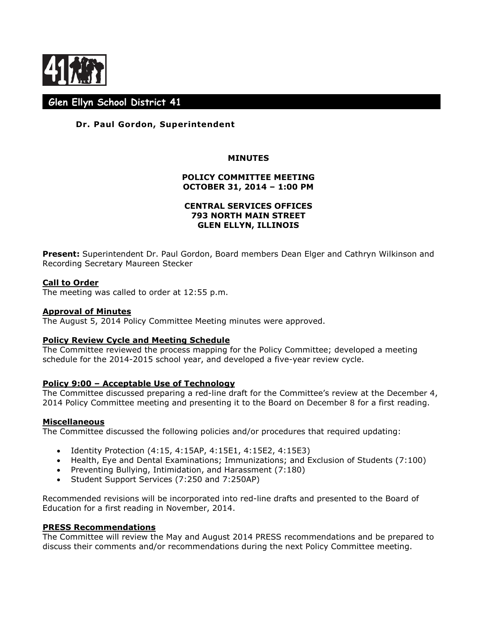

# **Glen Ellyn School District 41**

# **Dr. Paul Gordon, Superintendent**

## **MINUTES**

# **POLICY COMMITTEE MEETING OCTOBER 31, 2014 – 1:00 PM**

## **CENTRAL SERVICES OFFICES 793 NORTH MAIN STREET GLEN ELLYN, ILLINOIS**

**Present:** Superintendent Dr. Paul Gordon, Board members Dean Elger and Cathryn Wilkinson and Recording Secretary Maureen Stecker

## **Call to Order**

The meeting was called to order at 12:55 p.m.

## **Approval of Minutes**

The August 5, 2014 Policy Committee Meeting minutes were approved.

## **Policy Review Cycle and Meeting Schedule**

The Committee reviewed the process mapping for the Policy Committee; developed a meeting schedule for the 2014-2015 school year, and developed a five-year review cycle.

#### **Policy 9:00 – Acceptable Use of Technology**

The Committee discussed preparing a red-line draft for the Committee's review at the December 4, 2014 Policy Committee meeting and presenting it to the Board on December 8 for a first reading.

#### **Miscellaneous**

The Committee discussed the following policies and/or procedures that required updating:

- Identity Protection (4:15, 4:15AP, 4:15E1, 4:15E2, 4:15E3)
- Health, Eye and Dental Examinations; Immunizations; and Exclusion of Students (7:100)
- Preventing Bullying, Intimidation, and Harassment (7:180)
- Student Support Services (7:250 and 7:250AP)

Recommended revisions will be incorporated into red-line drafts and presented to the Board of Education for a first reading in November, 2014.

### **PRESS Recommendations**

The Committee will review the May and August 2014 PRESS recommendations and be prepared to discuss their comments and/or recommendations during the next Policy Committee meeting.